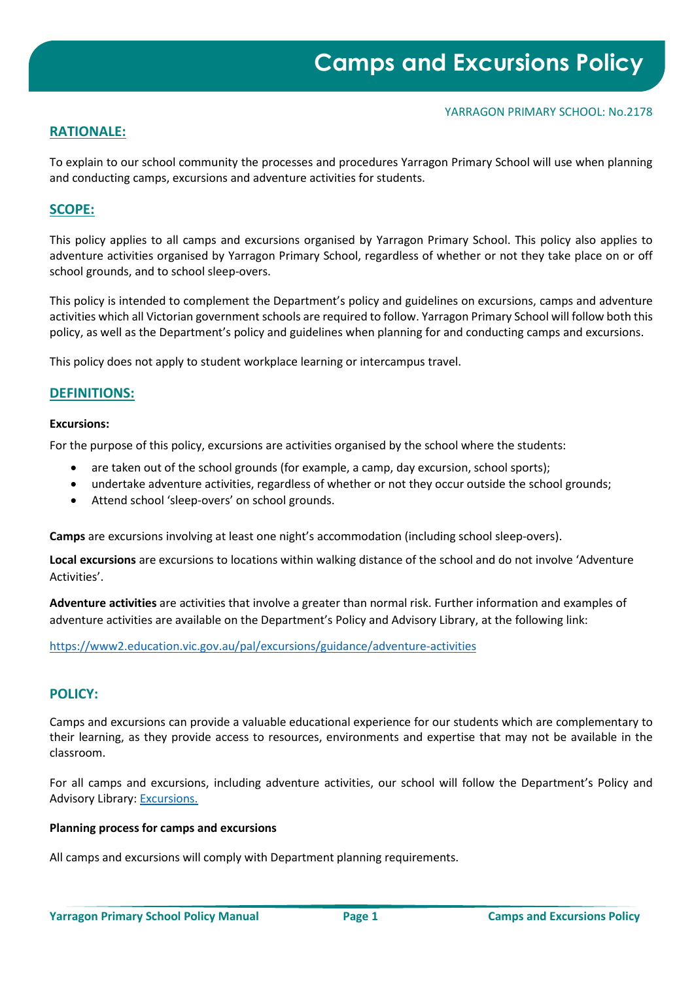#### YARRAGON PRIMARY SCHOOL: No.2178

# **RATIONALE:**

To explain to our school community the processes and procedures Yarragon Primary School will use when planning and conducting camps, excursions and adventure activities for students.

### **SCOPE:**

This policy applies to all camps and excursions organised by Yarragon Primary School. This policy also applies to adventure activities organised by Yarragon Primary School, regardless of whether or not they take place on or off school grounds, and to school sleep-overs.

This policy is intended to complement the Department's policy and guidelines on excursions, camps and adventure activities which all Victorian government schools are required to follow. Yarragon Primary School will follow both this policy, as well as the Department's policy and guidelines when planning for and conducting camps and excursions.

This policy does not apply to student workplace learning or intercampus travel.

### **DEFINITIONS:**

#### **Excursions:**

For the purpose of this policy, excursions are activities organised by the school where the students:

- are taken out of the school grounds (for example, a camp, day excursion, school sports);
- undertake adventure activities, regardless of whether or not they occur outside the school grounds;
- Attend school 'sleep-overs' on school grounds.

**Camps** are excursions involving at least one night's accommodation (including school sleep-overs).

**Local excursions** are excursions to locations within walking distance of the school and do not involve 'Adventure Activities'.

**Adventure activities** are activities that involve a greater than normal risk. Further information and examples of adventure activities are available on the Department's Policy and Advisory Library, at the following link:

<https://www2.education.vic.gov.au/pal/excursions/guidance/adventure-activities>

#### **POLICY:**

Camps and excursions can provide a valuable educational experience for our students which are complementary to their learning, as they provide access to resources, environments and expertise that may not be available in the classroom.

For all camps and excursions, including adventure activities, our school will follow the Department's Policy and Advisory Library: [Excursions.](https://www2.education.vic.gov.au/pal/excursions/policy)

#### **Planning process for camps and excursions**

All camps and excursions will comply with Department planning requirements.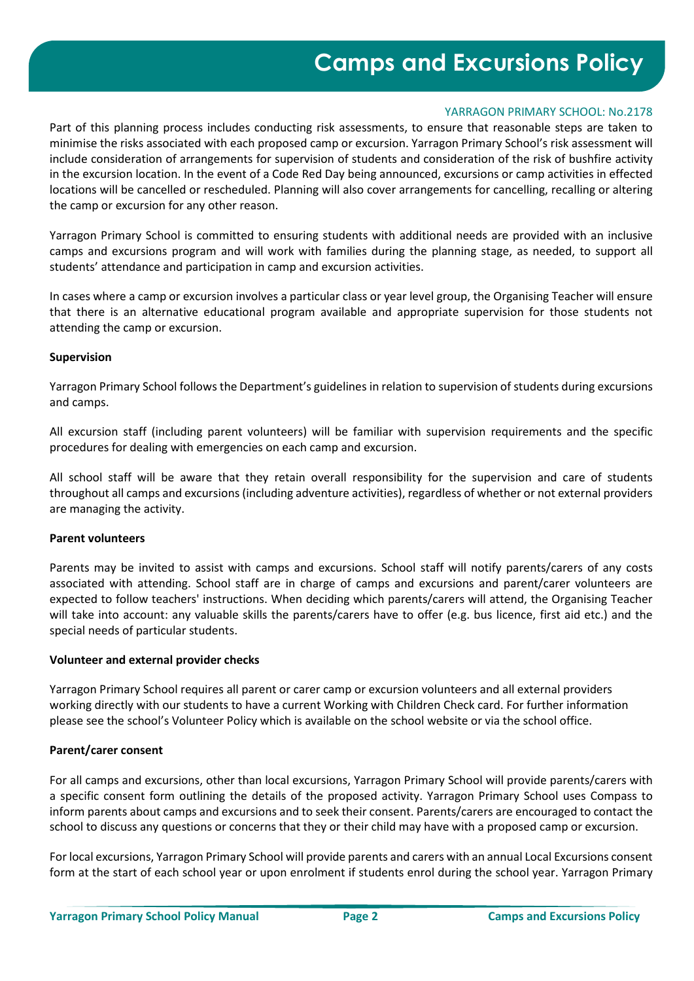# **Camps and Excursions Policy**

#### YARRAGON PRIMARY SCHOOL: No.2178

Part of this planning process includes conducting risk assessments, to ensure that reasonable steps are taken to minimise the risks associated with each proposed camp or excursion. Yarragon Primary School's risk assessment will include consideration of arrangements for supervision of students and consideration of the risk of bushfire activity in the excursion location. In the event of a Code Red Day being announced, excursions or camp activities in effected locations will be cancelled or rescheduled. Planning will also cover arrangements for cancelling, recalling or altering the camp or excursion for any other reason.

Yarragon Primary School is committed to ensuring students with additional needs are provided with an inclusive camps and excursions program and will work with families during the planning stage, as needed, to support all students' attendance and participation in camp and excursion activities.

In cases where a camp or excursion involves a particular class or year level group, the Organising Teacher will ensure that there is an alternative educational program available and appropriate supervision for those students not attending the camp or excursion.

#### **Supervision**

Yarragon Primary School follows the Department's guidelines in relation to supervision of students during excursions and camps.

All excursion staff (including parent volunteers) will be familiar with supervision requirements and the specific procedures for dealing with emergencies on each camp and excursion.

All school staff will be aware that they retain overall responsibility for the supervision and care of students throughout all camps and excursions (including adventure activities), regardless of whether or not external providers are managing the activity.

#### **Parent volunteers**

Parents may be invited to assist with camps and excursions. School staff will notify parents/carers of any costs associated with attending. School staff are in charge of camps and excursions and parent/carer volunteers are expected to follow teachers' instructions. When deciding which parents/carers will attend, the Organising Teacher will take into account: any valuable skills the parents/carers have to offer (e.g. bus licence, first aid etc.) and the special needs of particular students.

#### **Volunteer and external provider checks**

Yarragon Primary School requires all parent or carer camp or excursion volunteers and all external providers working directly with our students to have a current Working with Children Check card. For further information please see the school's Volunteer Policy which is available on the school website or via the school office.

#### **Parent/carer consent**

For all camps and excursions, other than local excursions, Yarragon Primary School will provide parents/carers with a specific consent form outlining the details of the proposed activity. Yarragon Primary School uses Compass to inform parents about camps and excursions and to seek their consent. Parents/carers are encouraged to contact the school to discuss any questions or concerns that they or their child may have with a proposed camp or excursion.

For local excursions, Yarragon Primary School will provide parents and carers with an annual Local Excursions consent form at the start of each school year or upon enrolment if students enrol during the school year. Yarragon Primary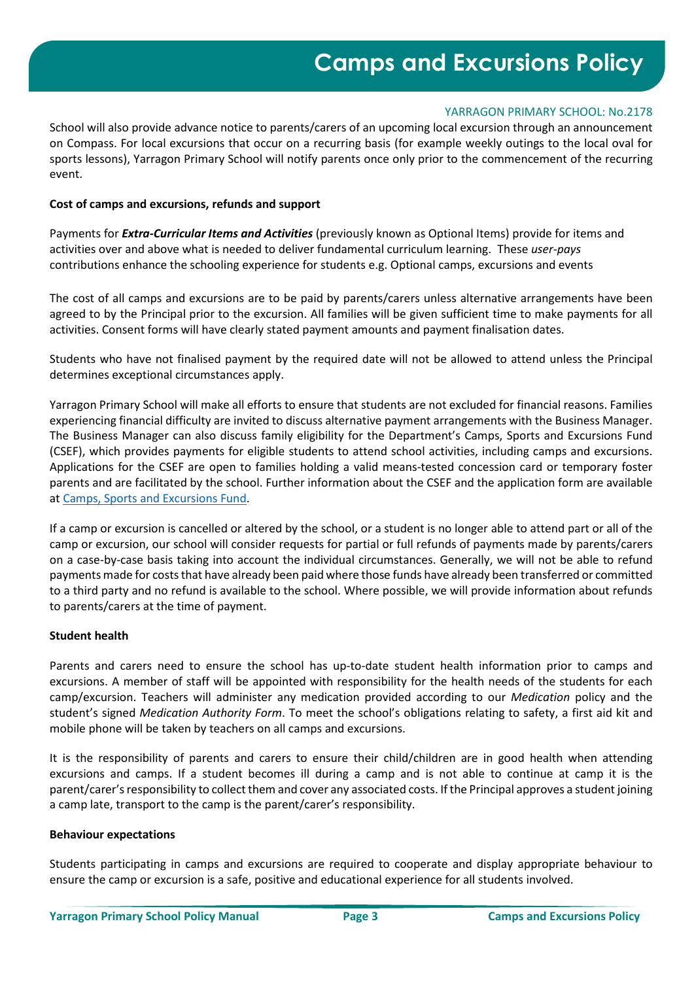#### YARRAGON PRIMARY SCHOOL: No.2178

School will also provide advance notice to parents/carers of an upcoming local excursion through an announcement on Compass. For local excursions that occur on a recurring basis (for example weekly outings to the local oval for sports lessons), Yarragon Primary School will notify parents once only prior to the commencement of the recurring event.

#### **Cost of camps and excursions, refunds and support**

Payments for *Extra-Curricular Items and Activities* (previously known as Optional Items) provide for items and activities over and above what is needed to deliver fundamental curriculum learning. These *user-pays* contributions enhance the schooling experience for students e.g. Optional camps, excursions and events

The cost of all camps and excursions are to be paid by parents/carers unless alternative arrangements have been agreed to by the Principal prior to the excursion. All families will be given sufficient time to make payments for all activities. Consent forms will have clearly stated payment amounts and payment finalisation dates.

Students who have not finalised payment by the required date will not be allowed to attend unless the Principal determines exceptional circumstances apply.

Yarragon Primary School will make all efforts to ensure that students are not excluded for financial reasons. Families experiencing financial difficulty are invited to discuss alternative payment arrangements with the Business Manager. The Business Manager can also discuss family eligibility for the Department's Camps, Sports and Excursions Fund (CSEF), which provides payments for eligible students to attend school activities, including camps and excursions. Applications for the CSEF are open to families holding a valid means-tested concession card or temporary foster parents and are facilitated by the school. Further information about the CSEF and the application form are available at [Camps, Sports and Excursions Fund.](https://www2.education.vic.gov.au/pal/camps-sports-and-excursions-fund/policy)

If a camp or excursion is cancelled or altered by the school, or a student is no longer able to attend part or all of the camp or excursion, our school will consider requests for partial or full refunds of payments made by parents/carers on a case-by-case basis taking into account the individual circumstances. Generally, we will not be able to refund payments made for costs that have already been paid where those funds have already been transferred or committed to a third party and no refund is available to the school. Where possible, we will provide information about refunds to parents/carers at the time of payment.

#### **Student health**

Parents and carers need to ensure the school has up-to-date student health information prior to camps and excursions. A member of staff will be appointed with responsibility for the health needs of the students for each camp/excursion. Teachers will administer any medication provided according to our *Medication* policy and the student's signed *Medication Authority Form*. To meet the school's obligations relating to safety, a first aid kit and mobile phone will be taken by teachers on all camps and excursions.

It is the responsibility of parents and carers to ensure their child/children are in good health when attending excursions and camps. If a student becomes ill during a camp and is not able to continue at camp it is the parent/carer's responsibility to collect them and cover any associated costs. If the Principal approves a student joining a camp late, transport to the camp is the parent/carer's responsibility.

#### **Behaviour expectations**

Students participating in camps and excursions are required to cooperate and display appropriate behaviour to ensure the camp or excursion is a safe, positive and educational experience for all students involved.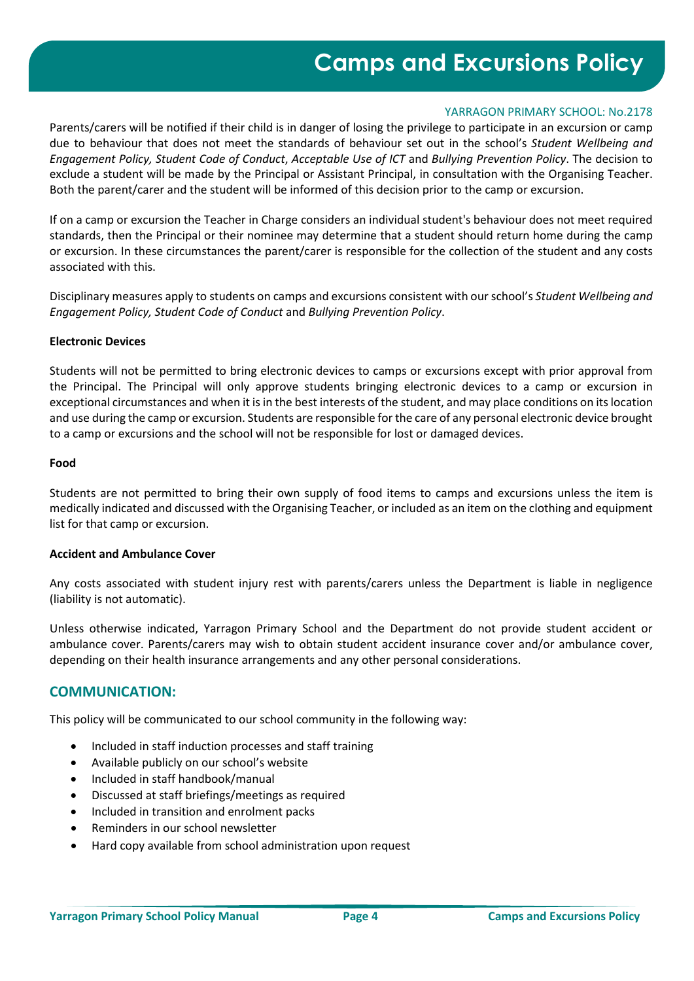# **Camps and Excursions Policy**

#### YARRAGON PRIMARY SCHOOL: No.2178

Parents/carers will be notified if their child is in danger of losing the privilege to participate in an excursion or camp due to behaviour that does not meet the standards of behaviour set out in the school's *Student Wellbeing and Engagement Policy, Student Code of Conduct*, *Acceptable Use of ICT* and *Bullying Prevention Policy*. The decision to exclude a student will be made by the Principal or Assistant Principal, in consultation with the Organising Teacher. Both the parent/carer and the student will be informed of this decision prior to the camp or excursion.

If on a camp or excursion the Teacher in Charge considers an individual student's behaviour does not meet required standards, then the Principal or their nominee may determine that a student should return home during the camp or excursion. In these circumstances the parent/carer is responsible for the collection of the student and any costs associated with this.

Disciplinary measures apply to students on camps and excursions consistent with our school's *Student Wellbeing and Engagement Policy, Student Code of Conduct* and *Bullying Prevention Policy*.

#### **Electronic Devices**

Students will not be permitted to bring electronic devices to camps or excursions except with prior approval from the Principal. The Principal will only approve students bringing electronic devices to a camp or excursion in exceptional circumstances and when it is in the best interests of the student, and may place conditions on its location and use during the camp or excursion. Students are responsible for the care of any personal electronic device brought to a camp or excursions and the school will not be responsible for lost or damaged devices.

#### **Food**

Students are not permitted to bring their own supply of food items to camps and excursions unless the item is medically indicated and discussed with the Organising Teacher, or included as an item on the clothing and equipment list for that camp or excursion.

#### **Accident and Ambulance Cover**

Any costs associated with student injury rest with parents/carers unless the Department is liable in negligence (liability is not automatic).

Unless otherwise indicated, Yarragon Primary School and the Department do not provide student accident or ambulance cover. Parents/carers may wish to obtain student accident insurance cover and/or ambulance cover, depending on their health insurance arrangements and any other personal considerations.

## **COMMUNICATION:**

This policy will be communicated to our school community in the following way:

- Included in staff induction processes and staff training
- Available publicly on our school's website
- Included in staff handbook/manual
- Discussed at staff briefings/meetings as required
- Included in transition and enrolment packs
- Reminders in our school newsletter
- Hard copy available from school administration upon request